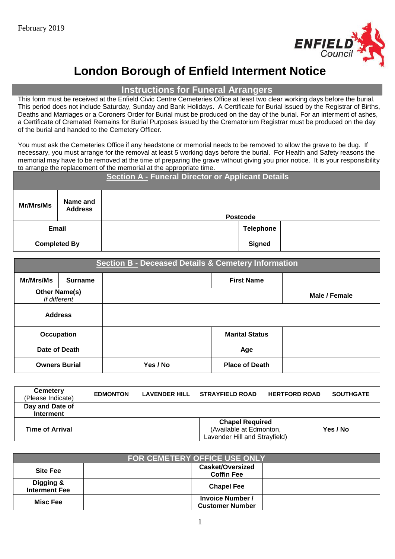

# **London Borough of Enfield Interment Notice**

**Instructions for Funeral Arrangers**

This form must be received at the Enfield Civic Centre Cemeteries Office at least two clear working days before the burial. This period does not include Saturday, Sunday and Bank Holidays. A Certificate for Burial issued by the Registrar of Births, Deaths and Marriages or a Coroners Order for Burial must be produced on the day of the burial. For an interment of ashes, a Certificate of Cremated Remains for Burial Purposes issued by the Crematorium Registrar must be produced on the day of the burial and handed to the Cemetery Officer.

You must ask the Cemeteries Office if any headstone or memorial needs to be removed to allow the grave to be dug. If necessary, you must arrange for the removal at least 5 working days before the burial. For Health and Safety reasons the memorial may have to be removed at the time of preparing the grave without giving you prior notice. It is your responsibility to arrange the replacement of the memorial at the appropriate time.

| <b>Section A - Funeral Director or Applicant Details</b> |                            |                 |                  |  |  |
|----------------------------------------------------------|----------------------------|-----------------|------------------|--|--|
| Mr/Mrs/Ms                                                | Name and<br><b>Address</b> | <b>Postcode</b> |                  |  |  |
| <b>Email</b>                                             |                            |                 | <b>Telephone</b> |  |  |
| <b>Completed By</b>                                      |                            |                 | <b>Signed</b>    |  |  |

|                      | <b>Section B - Deceased Details &amp; Cemetery Information</b> |          |                       |               |  |  |  |  |
|----------------------|----------------------------------------------------------------|----------|-----------------------|---------------|--|--|--|--|
| Mr/Mrs/Ms            | <b>Surname</b>                                                 |          | <b>First Name</b>     |               |  |  |  |  |
| <b>Other Name(s)</b> | If different                                                   |          |                       | Male / Female |  |  |  |  |
| <b>Address</b>       |                                                                |          |                       |               |  |  |  |  |
| Occupation           |                                                                |          | <b>Marital Status</b> |               |  |  |  |  |
| Date of Death        |                                                                |          | Age                   |               |  |  |  |  |
| <b>Owners Burial</b> |                                                                | Yes / No | <b>Place of Death</b> |               |  |  |  |  |

| <b>Cemetery</b><br>(Please Indicate) | <b>EDMONTON</b> | LAVENDER HILL STRAYFIELD ROAD                                                      | <b>HERTFORD ROAD</b> | <b>SOUTHGATE</b> |
|--------------------------------------|-----------------|------------------------------------------------------------------------------------|----------------------|------------------|
| Day and Date of<br><b>Interment</b>  |                 |                                                                                    |                      |                  |
| <b>Time of Arrival</b>               |                 | <b>Chapel Required</b><br>(Available at Edmonton,<br>Lavender Hill and Strayfield) |                      | Yes / No         |

| <b>FOR CEMETERY OFFICE USE ONLY</b> |                                                   |  |  |  |  |  |
|-------------------------------------|---------------------------------------------------|--|--|--|--|--|
| <b>Site Fee</b>                     | <b>Casket/Oversized</b><br><b>Coffin Fee</b>      |  |  |  |  |  |
| Digging &<br><b>Interment Fee</b>   | <b>Chapel Fee</b>                                 |  |  |  |  |  |
| Misc Fee                            | <b>Invoice Number /</b><br><b>Customer Number</b> |  |  |  |  |  |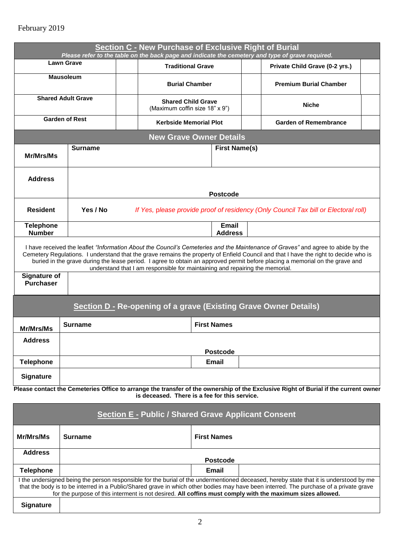|                                         |                       | Section C - New Purchase of Exclusive Right of Burial                               |                                                             | Please refer to the table on the back page and indicate the cemetery and type of grave required.                                                                                                                                                                                                                                                                                                         |  |  |  |  |
|-----------------------------------------|-----------------------|-------------------------------------------------------------------------------------|-------------------------------------------------------------|----------------------------------------------------------------------------------------------------------------------------------------------------------------------------------------------------------------------------------------------------------------------------------------------------------------------------------------------------------------------------------------------------------|--|--|--|--|
|                                         | <b>Lawn Grave</b>     | <b>Traditional Grave</b>                                                            |                                                             | Private Child Grave (0-2 yrs.)                                                                                                                                                                                                                                                                                                                                                                           |  |  |  |  |
| <b>Mausoleum</b>                        |                       | <b>Burial Chamber</b>                                                               |                                                             | <b>Premium Burial Chamber</b>                                                                                                                                                                                                                                                                                                                                                                            |  |  |  |  |
| <b>Shared Adult Grave</b>               |                       |                                                                                     | <b>Shared Child Grave</b><br>(Maximum coffin size 18" x 9") | <b>Niche</b>                                                                                                                                                                                                                                                                                                                                                                                             |  |  |  |  |
|                                         | <b>Garden of Rest</b> | <b>Kerbside Memorial Plot</b>                                                       |                                                             | <b>Garden of Remembrance</b>                                                                                                                                                                                                                                                                                                                                                                             |  |  |  |  |
|                                         |                       |                                                                                     | <b>New Grave Owner Details</b>                              |                                                                                                                                                                                                                                                                                                                                                                                                          |  |  |  |  |
| Mr/Mrs/Ms                               | <b>Surname</b>        |                                                                                     | <b>First Name(s)</b>                                        |                                                                                                                                                                                                                                                                                                                                                                                                          |  |  |  |  |
| <b>Address</b>                          |                       | <b>Postcode</b>                                                                     |                                                             |                                                                                                                                                                                                                                                                                                                                                                                                          |  |  |  |  |
| <b>Resident</b>                         | Yes / No              | If Yes, please provide proof of residency (Only Council Tax bill or Electoral roll) |                                                             |                                                                                                                                                                                                                                                                                                                                                                                                          |  |  |  |  |
| <b>Telephone</b><br><b>Number</b>       |                       |                                                                                     | <b>Email</b><br><b>Address</b>                              |                                                                                                                                                                                                                                                                                                                                                                                                          |  |  |  |  |
|                                         |                       |                                                                                     |                                                             | I have received the leaflet "Information About the Council's Cemeteries and the Maintenance of Graves" and agree to abide by the<br>Cemetery Regulations. I understand that the grave remains the property of Enfield Council and that I have the right to decide who is<br>buried in the grave during the lease period. I agree to obtain an approved permit before placing a memorial on the grave and |  |  |  |  |
| <b>Signature of</b><br><b>Purchaser</b> |                       | understand that I am responsible for maintaining and repairing the memorial.        |                                                             |                                                                                                                                                                                                                                                                                                                                                                                                          |  |  |  |  |
|                                         |                       |                                                                                     |                                                             | <b>Section D - Re-opening of a grave (Existing Grave Owner Details)</b>                                                                                                                                                                                                                                                                                                                                  |  |  |  |  |
| Mr/Mrs/Ms                               | <b>Surname</b>        |                                                                                     | <b>First Names</b>                                          |                                                                                                                                                                                                                                                                                                                                                                                                          |  |  |  |  |
| <b>Address</b>                          |                       |                                                                                     |                                                             |                                                                                                                                                                                                                                                                                                                                                                                                          |  |  |  |  |
| <b>Telephone</b>                        |                       |                                                                                     | <b>Postcode</b><br><b>Email</b>                             |                                                                                                                                                                                                                                                                                                                                                                                                          |  |  |  |  |
| <b>Signature</b>                        |                       |                                                                                     |                                                             |                                                                                                                                                                                                                                                                                                                                                                                                          |  |  |  |  |
|                                         |                       |                                                                                     |                                                             | Please contact the Cemeteries Office to arrange the transfer of the ownership of the Exclusive Right of Burial if the current owner                                                                                                                                                                                                                                                                      |  |  |  |  |

**is deceased. There is a fee for this service.**

| <b>Section E - Public / Shared Grave Applicant Consent</b>                                                                                                                                                                                                                                                                                                                                    |                 |                    |  |  |  |  |
|-----------------------------------------------------------------------------------------------------------------------------------------------------------------------------------------------------------------------------------------------------------------------------------------------------------------------------------------------------------------------------------------------|-----------------|--------------------|--|--|--|--|
| Mr/Mrs/Ms                                                                                                                                                                                                                                                                                                                                                                                     | Surname         | <b>First Names</b> |  |  |  |  |
| <b>Address</b>                                                                                                                                                                                                                                                                                                                                                                                | <b>Postcode</b> |                    |  |  |  |  |
| <b>Telephone</b>                                                                                                                                                                                                                                                                                                                                                                              |                 | Email              |  |  |  |  |
| I the undersigned being the person responsible for the burial of the undermentioned deceased, hereby state that it is understood by me<br>that the body is to be interred in a Public/Shared grave in which other bodies may have been interred. The purchase of a private grave<br>for the purpose of this interment is not desired. All coffins must comply with the maximum sizes allowed. |                 |                    |  |  |  |  |
| <b>Signature</b>                                                                                                                                                                                                                                                                                                                                                                              |                 |                    |  |  |  |  |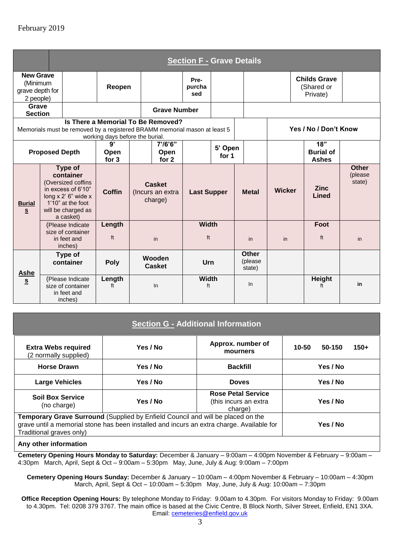|                                                              | <b>Section F - Grave Details</b> |                                                                                                                                                 |                                 |                                                                                                                 |                                              |                       |                  |                                                     |               |  |                                               |                                   |
|--------------------------------------------------------------|----------------------------------|-------------------------------------------------------------------------------------------------------------------------------------------------|---------------------------------|-----------------------------------------------------------------------------------------------------------------|----------------------------------------------|-----------------------|------------------|-----------------------------------------------------|---------------|--|-----------------------------------------------|-----------------------------------|
| <b>New Grave</b><br>(Minimum<br>grave depth for<br>2 people) |                                  |                                                                                                                                                 | Reopen                          |                                                                                                                 |                                              | Pre-<br>purcha<br>sed |                  |                                                     |               |  | <b>Childs Grave</b><br>(Shared or<br>Private) |                                   |
| Grave<br><b>Section</b>                                      |                                  |                                                                                                                                                 |                                 |                                                                                                                 | <b>Grave Number</b>                          |                       |                  |                                                     |               |  |                                               |                                   |
|                                                              |                                  |                                                                                                                                                 | working days before the burial. | Is There a Memorial To Be Removed?<br>Memorials must be removed by a registered BRAMM memorial mason at least 5 |                                              |                       |                  | Yes / No / Don't Know                               |               |  |                                               |                                   |
|                                                              | <b>Proposed Depth</b>            |                                                                                                                                                 | 9'<br><b>Open</b><br>for 3      |                                                                                                                 | $7'$ /6'6"<br>Open<br>for 2                  |                       | 5' Open<br>for 1 | 18 <sup>1</sup><br><b>Burial of</b><br><b>Ashes</b> |               |  |                                               |                                   |
| <b>Burial</b><br>S                                           |                                  | Type of<br>container<br>(Oversized coffins<br>in excess of 6'10"<br>long x 2' 6" wide x<br>1'10" at the foot<br>will be charged as<br>a casket) | <b>Coffin</b>                   |                                                                                                                 | <b>Casket</b><br>(Incurs an extra<br>charge) | <b>Last Supper</b>    |                  | <b>Metal</b>                                        | <b>Wicker</b> |  | <b>Zinc</b><br>Lined                          | <b>Other</b><br>(please<br>state) |
|                                                              |                                  | (Please Indicate<br>size of container<br>in feet and<br>inches)                                                                                 | Length<br>ft                    |                                                                                                                 | in                                           | <b>Width</b><br>ft    |                  | in                                                  | in            |  | Foot<br>ft                                    | in                                |
| <b>Ashe</b>                                                  |                                  | Type of<br>container                                                                                                                            | Poly                            |                                                                                                                 | Wooden<br><b>Casket</b>                      | Urn                   |                  | <b>Other</b><br>(please<br>state)                   |               |  |                                               |                                   |
| S                                                            |                                  | (Please Indicate<br>size of container<br>in feet and<br>inches)                                                                                 | Length<br>ft                    |                                                                                                                 | In                                           | <b>Width</b><br>ft    |                  | In                                                  |               |  | <b>Height</b><br>ft                           | in                                |

## **Section G - Additional Information**

| <b>Extra Webs required</b><br>(2 normally supplied)                                                                                                                                                      | Yes / No | Approx. number of<br>mourners | 10-50<br>$150+$<br>50-150 |  |  |  |  |  |
|----------------------------------------------------------------------------------------------------------------------------------------------------------------------------------------------------------|----------|-------------------------------|---------------------------|--|--|--|--|--|
| <b>Horse Drawn</b>                                                                                                                                                                                       | Yes / No | <b>Backfill</b>               | Yes / No                  |  |  |  |  |  |
| <b>Large Vehicles</b>                                                                                                                                                                                    | Yes / No | <b>Doves</b>                  | Yes / No                  |  |  |  |  |  |
| <b>Soil Box Service</b><br>(no charge)                                                                                                                                                                   | Yes / No |                               |                           |  |  |  |  |  |
| Temporary Grave Surround (Supplied by Enfield Council and will be placed on the<br>grave until a memorial stone has been installed and incurs an extra charge. Available for<br>Traditional graves only) | Yes / No |                               |                           |  |  |  |  |  |
| Any other information                                                                                                                                                                                    |          |                               |                           |  |  |  |  |  |

## **Any other information**

**Cemetery Opening Hours Monday to Saturday:** December & January – 9:00am – 4:00pm November & February – 9:00am – 4:30pm March, April, Sept & Oct – 9:00am – 5:30pm May, June, July & Aug: 9:00am – 7:00pm

**Cemetery Opening Hours Sunday:** December & January – 10:00am – 4:00pm November & February – 10:00am – 4:30pm March, April, Sept & Oct – 10:00am – 5:30pm May, June, July & Aug: 10:00am – 7:30pm

**Office Reception Opening Hours:** By telephone Monday to Friday: 9.00am to 4.30pm. For visitors Monday to Friday: 9.00am to 4.30pm. Tel: 0208 379 3767. The main office is based at the Civic Centre, B Block North, Silver Street, Enfield, EN1 3XA. Email: [cemeteries@enfield.gov.uk](mailto:cemeteries@enfield.gov.uk)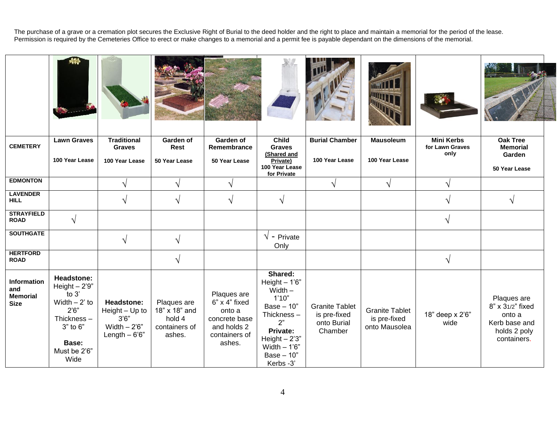The purchase of a grave or a cremation plot secures the Exclusive Right of Burial to the deed holder and the right to place and maintain a memorial for the period of the lease. Permission is required by the Cemeteries Office to erect or make changes to a memorial and a permit fee is payable dependant on the dimensions of the memorial.

| <b>CEMETERY</b>                                      | <b>Lawn Graves</b>                                                                                                                     | <b>Traditional</b><br><b>Graves</b>                                       | Garden of<br>Rest                                                 | Garden of<br>Remembrance                                                                          | <b>Child</b><br><b>Graves</b>                                                                                                                                  | <b>Burial Chamber</b>                                           | <b>Mausoleum</b>                                       | <b>Mini Kerbs</b><br>for Lawn Graves | <b>Oak Tree</b><br><b>Memorial</b>                                                        |  |
|------------------------------------------------------|----------------------------------------------------------------------------------------------------------------------------------------|---------------------------------------------------------------------------|-------------------------------------------------------------------|---------------------------------------------------------------------------------------------------|----------------------------------------------------------------------------------------------------------------------------------------------------------------|-----------------------------------------------------------------|--------------------------------------------------------|--------------------------------------|-------------------------------------------------------------------------------------------|--|
|                                                      | 100 Year Lease                                                                                                                         | 100 Year Lease                                                            | 50 Year Lease                                                     | 50 Year Lease                                                                                     | (Shared and<br>Private)<br>100 Year Lease<br>for Private                                                                                                       | 100 Year Lease                                                  | 100 Year Lease                                         | only                                 | Garden<br>50 Year Lease                                                                   |  |
| <b>EDMONTON</b>                                      |                                                                                                                                        | $\sqrt{}$                                                                 | $\sqrt{ }$                                                        | $\sqrt{}$                                                                                         |                                                                                                                                                                | $\sqrt{ }$                                                      | $\sqrt{ }$                                             | $\sqrt{}$                            |                                                                                           |  |
| <b>LAVENDER</b><br><b>HILL</b>                       |                                                                                                                                        |                                                                           | $\sqrt{}$                                                         | $\sqrt{}$                                                                                         | $\sqrt{}$                                                                                                                                                      |                                                                 |                                                        |                                      | $\sqrt{ }$                                                                                |  |
| <b>STRAYFIELD</b><br><b>ROAD</b>                     | $\sqrt{ }$                                                                                                                             |                                                                           |                                                                   |                                                                                                   |                                                                                                                                                                |                                                                 |                                                        | $\sqrt{}$                            |                                                                                           |  |
| <b>SOUTHGATE</b>                                     |                                                                                                                                        | $\sqrt{ }$                                                                | $\sqrt{ }$                                                        |                                                                                                   | $\sqrt{}$ - Private<br>Only                                                                                                                                    |                                                                 |                                                        |                                      |                                                                                           |  |
| <b>HERTFORD</b><br><b>ROAD</b>                       |                                                                                                                                        |                                                                           | $\sqrt{ }$                                                        |                                                                                                   |                                                                                                                                                                |                                                                 |                                                        | $\sqrt{}$                            |                                                                                           |  |
| Information<br>and<br><b>Memorial</b><br><b>Size</b> | <b>Headstone:</b><br>Height $-2'9''$<br>to $3'$<br>Width $-2$ ' to<br>2'6''<br>Thickness-<br>3" to 6"<br>Base:<br>Must be 2'6"<br>Wide | Headstone:<br>Height - Up to<br>3'6''<br>Width $-2'6''$<br>Length $-6'6"$ | Plaques are<br>18" x 18" and<br>hold 4<br>containers of<br>ashes. | Plaques are<br>6" x 4" fixed<br>onto a<br>concrete base<br>and holds 2<br>containers of<br>ashes. | Shared:<br>Height $-1'6"$<br>Width $-$<br>1'10"<br>Base $-10"$<br>Thickness-<br>2"<br>Private:<br>Height $-2'3''$<br>Width $-1'6"$<br>Base $-10"$<br>Kerbs -3' | <b>Granite Tablet</b><br>is pre-fixed<br>onto Burial<br>Chamber | <b>Granite Tablet</b><br>is pre-fixed<br>onto Mausolea | 18" deep x 2'6"<br>wide              | Plaques are<br>8" x 31/2" fixed<br>onto a<br>Kerb base and<br>holds 2 poly<br>containers. |  |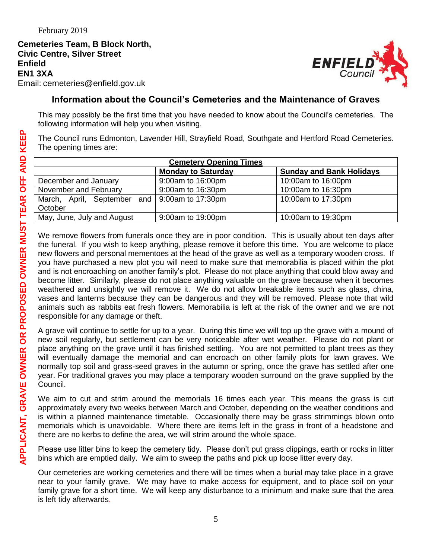**Cemeteries Team, B Block North, Civic Centre, Silver Street Enfield EN1 3XA** Email: cemeteries@enfield.gov.uk



## **Information about the Council's Cemeteries and the Maintenance of Graves**

This may possibly be the first time that you have needed to know about the Council's cemeteries. The following information will help you when visiting.

The Council runs Edmonton, Lavender Hill, Strayfield Road, Southgate and Hertford Road Cemeteries. The opening times are:

| <b>Cemetery Opening Times</b>                 |                           |                                 |  |  |  |  |  |
|-----------------------------------------------|---------------------------|---------------------------------|--|--|--|--|--|
|                                               | <b>Monday to Saturday</b> | <b>Sunday and Bank Holidays</b> |  |  |  |  |  |
| December and January                          | 9:00am to 16:00pm         | 10:00am to 16:00pm              |  |  |  |  |  |
| November and February                         | 9:00am to 16:30pm         | 10:00am to 16:30pm              |  |  |  |  |  |
| March, April, September and 9:00am to 17:30pm |                           | 10:00am to 17:30pm              |  |  |  |  |  |
| October                                       |                           |                                 |  |  |  |  |  |
| May, June, July and August                    | 9:00am to 19:00pm         | 10:00am to 19:30pm              |  |  |  |  |  |

We remove flowers from funerals once they are in poor condition. This is usually about ten days after the funeral. If you wish to keep anything, please remove it before this time. You are welcome to place new flowers and personal mementoes at the head of the grave as well as a temporary wooden cross. If you have purchased a new plot you will need to make sure that memorabilia is placed within the plot and is not encroaching on another family's plot. Please do not place anything that could blow away and become litter. Similarly, please do not place anything valuable on the grave because when it becomes weathered and unsightly we will remove it. We do not allow breakable items such as glass, china, vases and lanterns because they can be dangerous and they will be removed. Please note that wild animals such as rabbits eat fresh flowers. Memorabilia is left at the risk of the owner and we are not responsible for any damage or theft.

A grave will continue to settle for up to a year. During this time we will top up the grave with a mound of new soil regularly, but settlement can be very noticeable after wet weather. Please do not plant or place anything on the grave until it has finished settling. You are not permitted to plant trees as they will eventually damage the memorial and can encroach on other family plots for lawn graves. We normally top soil and grass-seed graves in the autumn or spring, once the grave has settled after one year. For traditional graves you may place a temporary wooden surround on the grave supplied by the Council.

We aim to cut and strim around the memorials 16 times each year. This means the grass is cut approximately every two weeks between March and October, depending on the weather conditions and is within a planned maintenance timetable. Occasionally there may be grass strimmings blown onto memorials which is unavoidable. Where there are items left in the grass in front of a headstone and there are no kerbs to define the area, we will strim around the whole space.

Please use litter bins to keep the cemetery tidy. Please don't put grass clippings, earth or rocks in litter bins which are emptied daily. We aim to sweep the paths and pick up loose litter every day.

Our cemeteries are working cemeteries and there will be times when a burial may take place in a grave near to your family grave. We may have to make access for equipment, and to place soil on your family grave for a short time. We will keep any disturbance to a minimum and make sure that the area is left tidy afterwards.